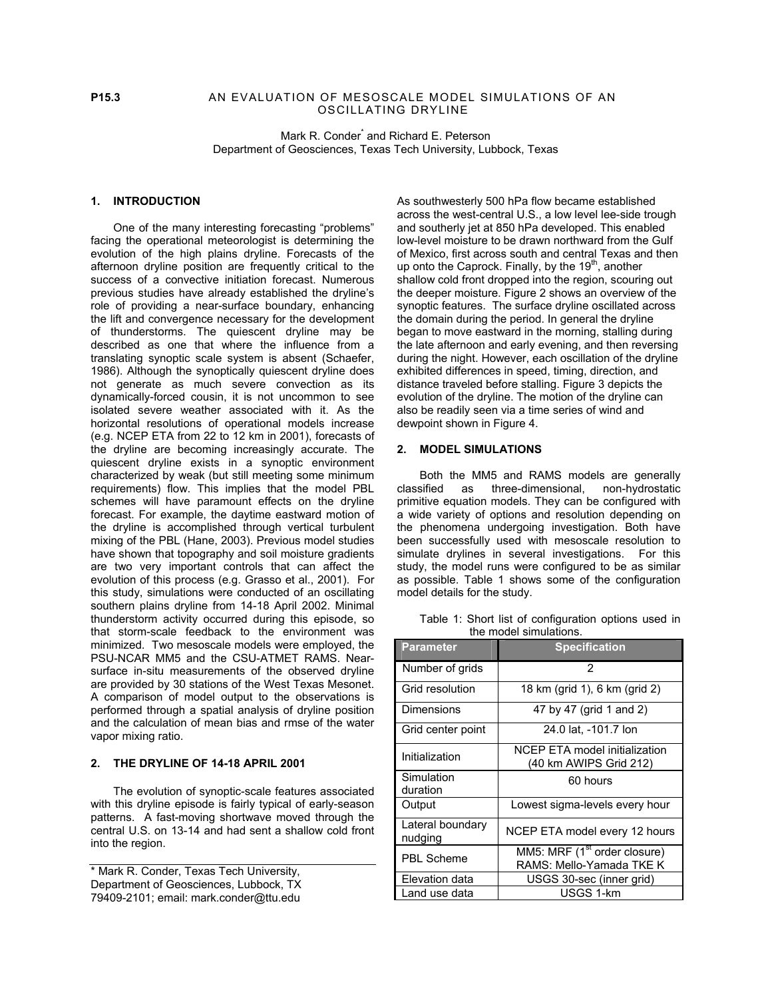### **P15.3** AN EVALUATION OF MESOSCALE MODEL SIMULATIONS OF AN OSCILLATING DRYLINE

Mark R. Conder<sup>\*</sup> and Richard E. Peterson Department of Geosciences, Texas Tech University, Lubbock, Texas

# **1. INTRODUCTION**

One of the many interesting forecasting "problems" facing the operational meteorologist is determining the evolution of the high plains dryline. Forecasts of the afternoon dryline position are frequently critical to the success of a convective initiation forecast. Numerous previous studies have already established the dryline's role of providing a near-surface boundary, enhancing the lift and convergence necessary for the development of thunderstorms. The quiescent dryline may be described as one that where the influence from a translating synoptic scale system is absent (Schaefer, 1986). Although the synoptically quiescent dryline does not generate as much severe convection as its dynamically-forced cousin, it is not uncommon to see isolated severe weather associated with it. As the horizontal resolutions of operational models increase (e.g. NCEP ETA from 22 to 12 km in 2001), forecasts of the dryline are becoming increasingly accurate. The quiescent dryline exists in a synoptic environment characterized by weak (but still meeting some minimum requirements) flow. This implies that the model PBL schemes will have paramount effects on the dryline forecast. For example, the daytime eastward motion of the dryline is accomplished through vertical turbulent mixing of the PBL (Hane, 2003). Previous model studies have shown that topography and soil moisture gradients are two very important controls that can affect the evolution of this process (e.g. Grasso et al., 2001). For this study, simulations were conducted of an oscillating southern plains dryline from 14-18 April 2002. Minimal thunderstorm activity occurred during this episode, so that storm-scale feedback to the environment was minimized. Two mesoscale models were employed, the PSU-NCAR MM5 and the CSU-ATMET RAMS. Nearsurface in-situ measurements of the observed dryline are provided by 30 stations of the West Texas Mesonet. A comparison of model output to the observations is performed through a spatial analysis of dryline position and the calculation of mean bias and rmse of the water vapor mixing ratio.

### **2. THE DRYLINE OF 14-18 APRIL 2001**

The evolution of synoptic-scale features associated with this dryline episode is fairly typical of early-season patterns. A fast-moving shortwave moved through the central U.S. on 13-14 and had sent a shallow cold front into the region.

\* Mark R. Conder, Texas Tech University, Department of Geosciences, Lubbock, TX 79409-2101; email: mark.conder@ttu.edu

As southwesterly 500 hPa flow became established across the west-central U.S., a low level lee-side trough and southerly jet at 850 hPa developed. This enabled low-level moisture to be drawn northward from the Gulf of Mexico, first across south and central Texas and then up onto the Caprock. Finally, by the  $19<sup>th</sup>$ , another shallow cold front dropped into the region, scouring out the deeper moisture. Figure 2 shows an overview of the synoptic features. The surface dryline oscillated across the domain during the period. In general the dryline began to move eastward in the morning, stalling during the late afternoon and early evening, and then reversing during the night. However, each oscillation of the dryline exhibited differences in speed, timing, direction, and distance traveled before stalling. Figure 3 depicts the evolution of the dryline. The motion of the dryline can also be readily seen via a time series of wind and dewpoint shown in Figure 4.

### **2. MODEL SIMULATIONS**

Both the MM5 and RAMS models are generally classified as three-dimensional, non-hydrostatic primitive equation models. They can be configured with a wide variety of options and resolution depending on the phenomena undergoing investigation. Both have been successfully used with mesoscale resolution to simulate drylines in several investigations. For this study, the model runs were configured to be as similar as possible. Table 1 shows some of the configuration model details for the study.

 Table 1: Short list of configuration options used in the model simulations.

| Parameter                   | <b>Specification</b>                                                 |
|-----------------------------|----------------------------------------------------------------------|
| Number of grids             | 2                                                                    |
| Grid resolution             | 18 km (grid 1), 6 km (grid 2)                                        |
| <b>Dimensions</b>           | 47 by 47 (grid 1 and 2)                                              |
| Grid center point           | 24.0 lat, -101.7 lon                                                 |
| Initialization              | NCEP ETA model initialization<br>(40 km AWIPS Grid 212)              |
| Simulation<br>duration      | 60 hours                                                             |
| Output                      | Lowest sigma-levels every hour                                       |
| Lateral boundary<br>nudging | NCEP ETA model every 12 hours                                        |
| <b>PBL Scheme</b>           | MM5: MRF (1 <sup>st</sup> order closure)<br>RAMS: Mello-Yamada TKE K |
|                             |                                                                      |
| Elevation data              | USGS 30-sec (inner grid)                                             |
| Land use data               | USGS 1-km                                                            |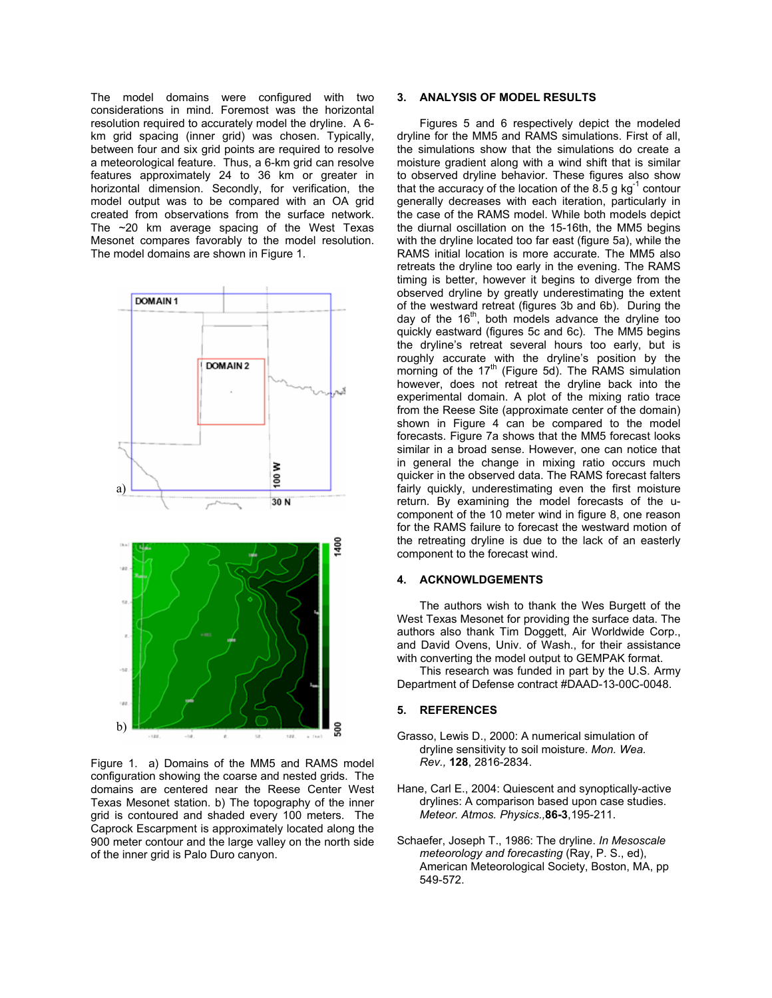The model domains were configured with two considerations in mind. Foremost was the horizontal resolution required to accurately model the dryline. A 6 km grid spacing (inner grid) was chosen. Typically, between four and six grid points are required to resolve a meteorological feature. Thus, a 6-km grid can resolve features approximately 24 to 36 km or greater in horizontal dimension. Secondly, for verification, the model output was to be compared with an OA grid created from observations from the surface network. The ~20 km average spacing of the West Texas Mesonet compares favorably to the model resolution. The model domains are shown in Figure 1.



Figure 1. a) Domains of the MM5 and RAMS model configuration showing the coarse and nested grids. The domains are centered near the Reese Center West Texas Mesonet station. b) The topography of the inner grid is contoured and shaded every 100 meters. The Caprock Escarpment is approximately located along the 900 meter contour and the large valley on the north side of the inner grid is Palo Duro canyon.

## **3. ANALYSIS OF MODEL RESULTS**

Figures 5 and 6 respectively depict the modeled dryline for the MM5 and RAMS simulations. First of all, the simulations show that the simulations do create a moisture gradient along with a wind shift that is similar to observed dryline behavior. These figures also show that the accuracy of the location of the 8.5 g  $kg^{-1}$  contour generally decreases with each iteration, particularly in the case of the RAMS model. While both models depict the diurnal oscillation on the 15-16th, the MM5 begins with the dryline located too far east (figure 5a), while the RAMS initial location is more accurate. The MM5 also retreats the dryline too early in the evening. The RAMS timing is better, however it begins to diverge from the observed dryline by greatly underestimating the extent of the westward retreat (figures 3b and 6b). During the day of the 16<sup>th</sup>, both models advance the dryline too quickly eastward (figures 5c and 6c). The MM5 begins the dryline's retreat several hours too early, but is roughly accurate with the dryline's position by the morning of the  $17<sup>th</sup>$  (Figure 5d). The RAMS simulation however, does not retreat the dryline back into the experimental domain. A plot of the mixing ratio trace from the Reese Site (approximate center of the domain) shown in Figure 4 can be compared to the model forecasts. Figure 7a shows that the MM5 forecast looks similar in a broad sense. However, one can notice that in general the change in mixing ratio occurs much quicker in the observed data. The RAMS forecast falters fairly quickly, underestimating even the first moisture return. By examining the model forecasts of the ucomponent of the 10 meter wind in figure 8, one reason for the RAMS failure to forecast the westward motion of the retreating dryline is due to the lack of an easterly component to the forecast wind.

#### **4. ACKNOWLDGEMENTS**

The authors wish to thank the Wes Burgett of the West Texas Mesonet for providing the surface data. The authors also thank Tim Doggett, Air Worldwide Corp., and David Ovens, Univ. of Wash., for their assistance with converting the model output to GEMPAK format.

This research was funded in part by the U.S. Army Department of Defense contract #DAAD-13-00C-0048.

#### **5. REFERENCES**

- Grasso, Lewis D., 2000: A numerical simulation of dryline sensitivity to soil moisture. *Mon. Wea. Rev.,* **128**, 2816-2834.
- Hane, Carl E., 2004: Quiescent and synoptically-active drylines: A comparison based upon case studies. *Meteor. Atmos. Physics.,***86-3**,195-211.
- Schaefer, Joseph T., 1986: The dryline. *In Mesoscale meteorology and forecasting* (Ray, P. S., ed), American Meteorological Society, Boston, MA, pp 549-572.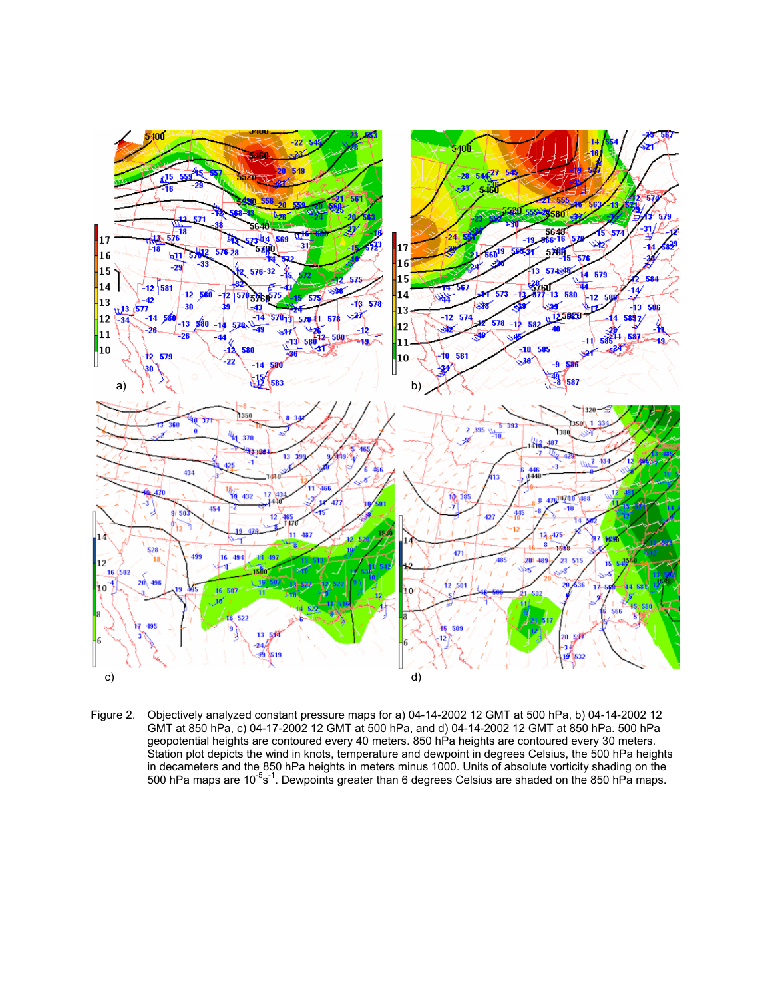

Figure 2. Objectively analyzed constant pressure maps for a) 04-14-2002 12 GMT at 500 hPa, b) 04-14-2002 12 GMT at 850 hPa, c) 04-17-2002 12 GMT at 500 hPa, and d) 04-14-2002 12 GMT at 850 hPa. 500 hPa geopotential heights are contoured every 40 meters. 850 hPa heights are contoured every 30 meters. Station plot depicts the wind in knots, temperature and dewpoint in degrees Celsius, the 500 hPa heights in decameters and the 850 hPa heights in meters minus 1000. Units of absolute vorticity shading on the 500 hPa maps are 10<sup>-5</sup>s<sup>-1</sup>. Dewpoints greater than 6 degrees Celsius are shaded on the 850 hPa maps.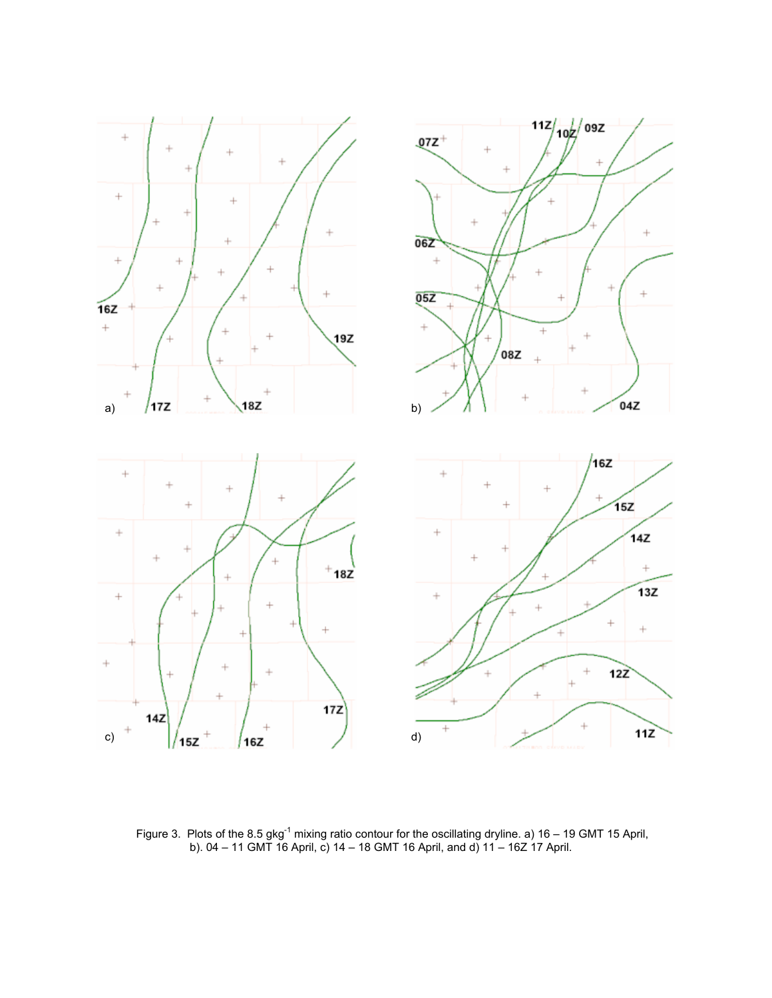

Figure 3. Plots of the 8.5 gkg<sup>-1</sup> mixing ratio contour for the oscillating dryline. a) 16 – 19 GMT 15 April, b). 04 – 11 GMT 16 April, c) 14 – 18 GMT 16 April, and d) 11 – 16Z 17 April.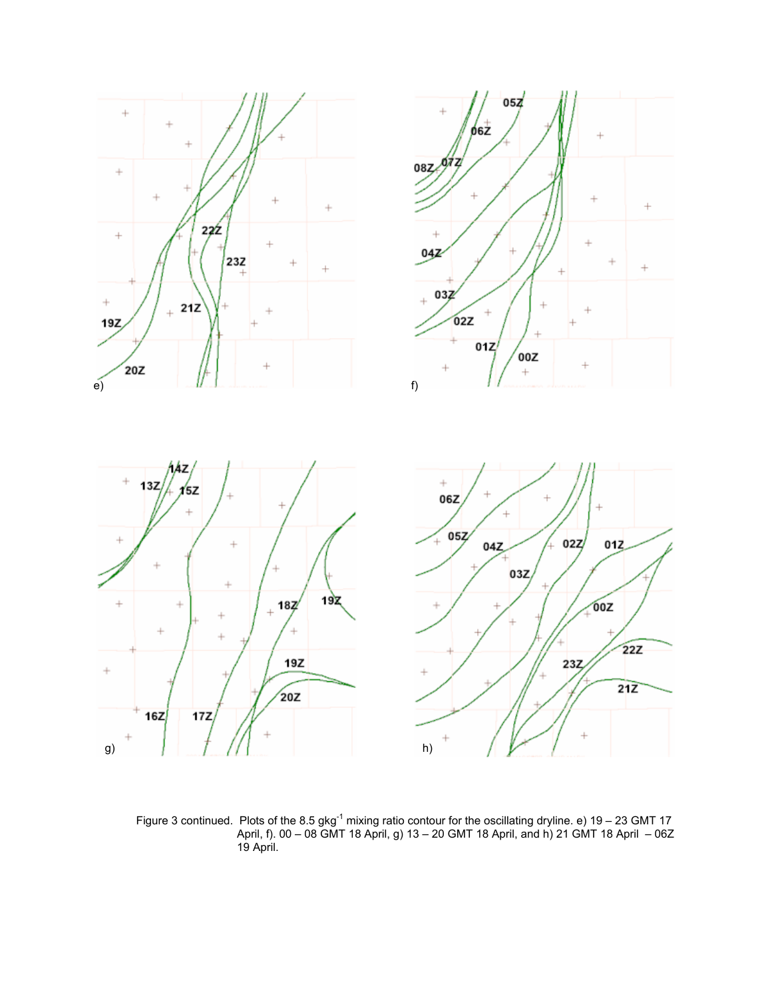

Figure 3 continued. Plots of the 8.5 gkg<sup>-1</sup> mixing ratio contour for the oscillating dryline. e) 19 – 23 GMT 17 April, f). 00 – 08 GMT 18 April, g) 13 – 20 GMT 18 April, and h) 21 GMT 18 April – 06Z 19 April.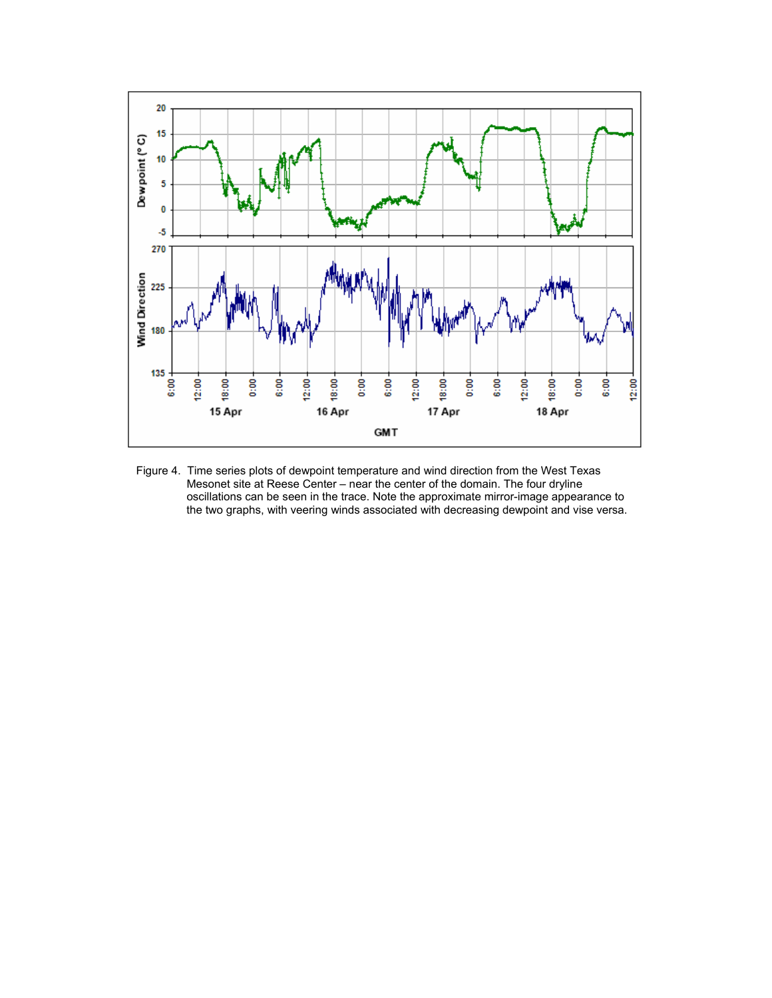

Figure 4. Time series plots of dewpoint temperature and wind direction from the West Texas Mesonet site at Reese Center – near the center of the domain. The four dryline oscillations can be seen in the trace. Note the approximate mirror-image appearance to the two graphs, with veering winds associated with decreasing dewpoint and vise versa.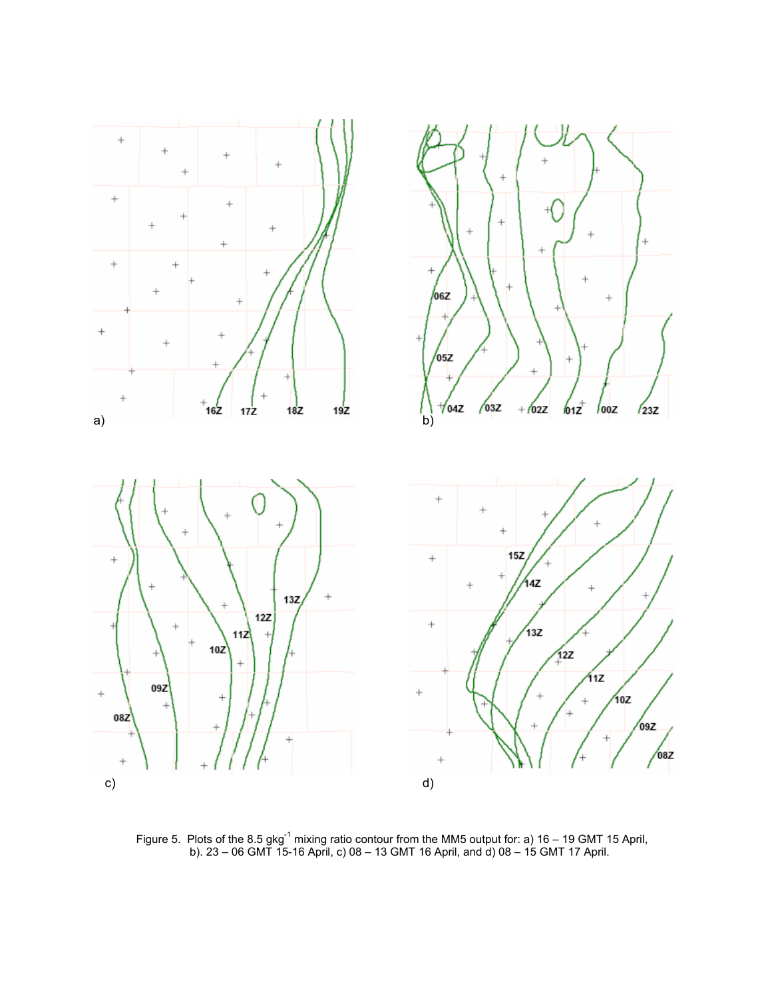

Figure 5. Plots of the 8.5 gkg<sup>-1</sup> mixing ratio contour from the MM5 output for: a) 16 – 19 GMT 15 April, b). 23 – 06 GMT 15-16 April, c) 08 – 13 GMT 16 April, and d) 08 – 15 GMT 17 April.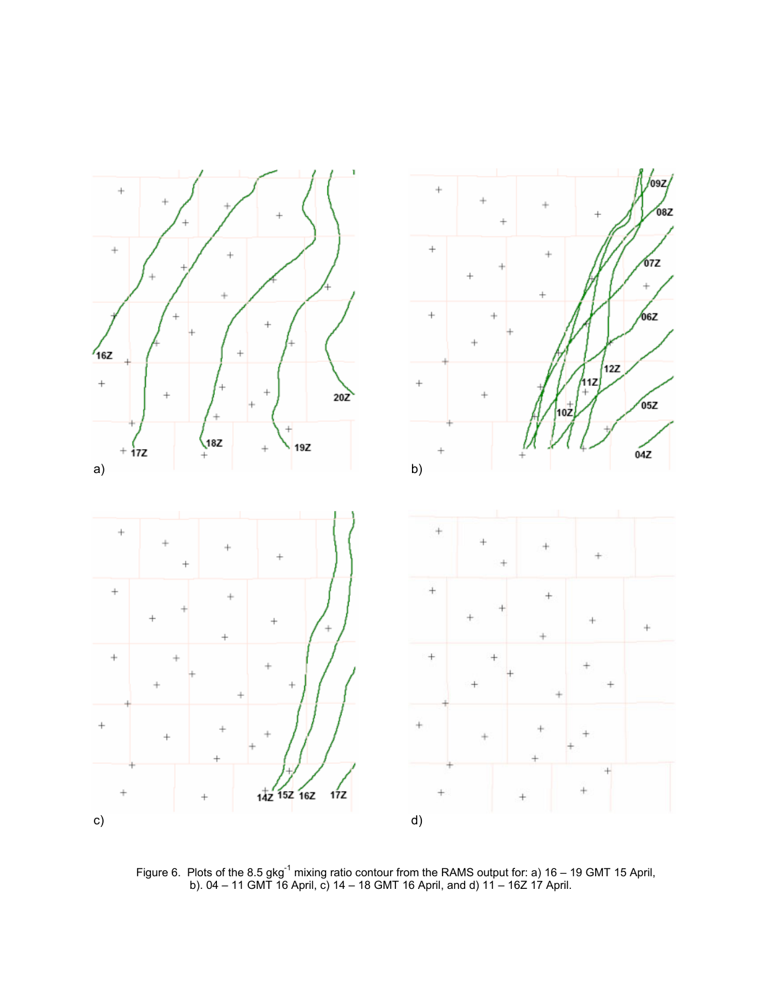

Figure 6. Plots of the 8.5 gkg<sup>-1</sup> mixing ratio contour from the RAMS output for: a) 16 – 19 GMT 15 April, b). 04 – 11 GMT 16 April, c) 14 – 18 GMT 16 April, and d) 11 – 16Z 17 April.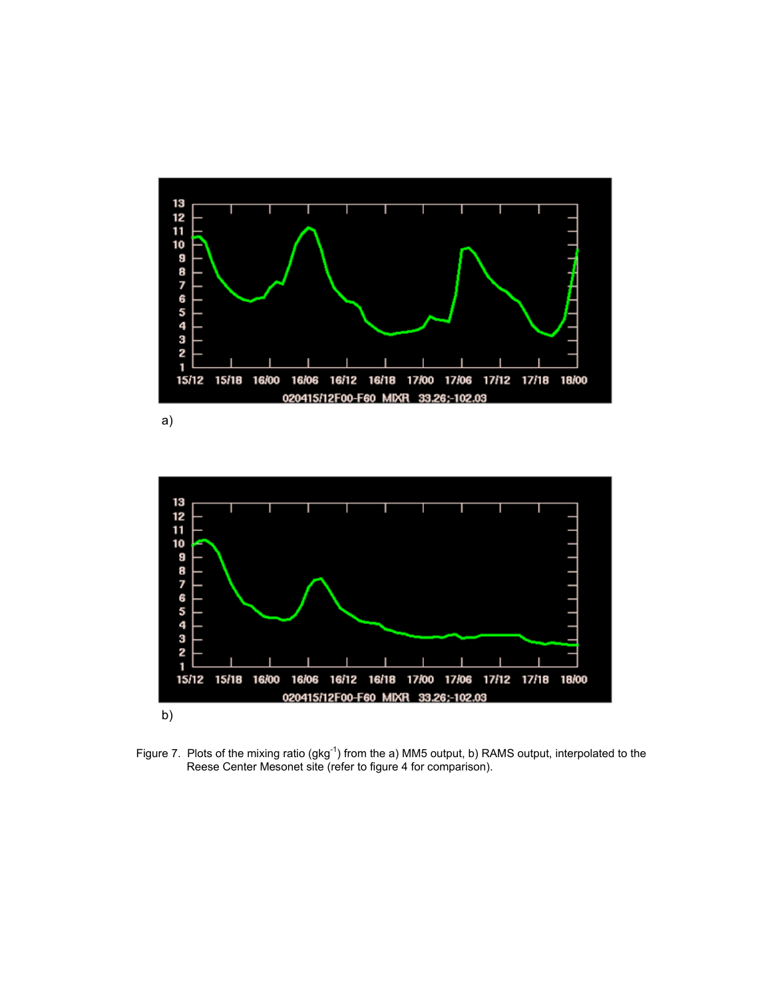

a)



Figure 7. Plots of the mixing ratio (gkg<sup>-1</sup>) from the a) MM5 output, b) RAMS output, interpolated to the Reese Center Mesonet site (refer to figure 4 for comparison).